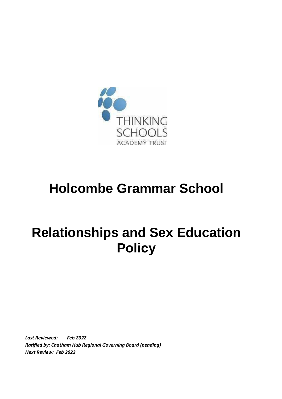

## **Holcombe Grammar School**

# **Relationships and Sex Education Policy**

*Last Reviewed: Feb 2022 Ratified by: Chatham Hub Regional Governing Board (pending) Next Review: Feb 2023*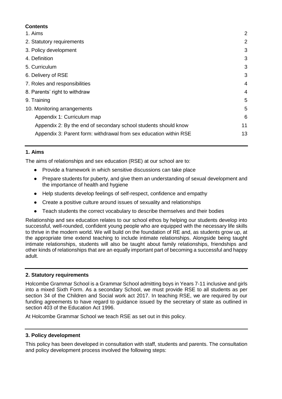### **Contents**

| 1. Aims                                                           | 2  |
|-------------------------------------------------------------------|----|
| 2. Statutory requirements                                         | 2  |
| 3. Policy development                                             | 3  |
| 4. Definition                                                     | 3  |
| 5. Curriculum                                                     | 3  |
| 6. Delivery of RSE                                                | 3  |
| 7. Roles and responsibilities                                     | 4  |
| 8. Parents' right to withdraw                                     | 4  |
| 9. Training                                                       | 5  |
| 10. Monitoring arrangements                                       | 5  |
| Appendix 1: Curriculum map                                        | 6  |
| Appendix 2: By the end of secondary school students should know   | 11 |
| Appendix 3: Parent form: withdrawal from sex education within RSE | 13 |
|                                                                   |    |

### <span id="page-1-0"></span>**1. Aims**

The aims of relationships and sex education (RSE) at our school are to:

- Provide a framework in which sensitive discussions can take place
- Prepare students for puberty, and give them an understanding of sexual development and the importance of health and hygiene
- Help students develop feelings of self-respect, confidence and empathy
- Create a positive culture around issues of sexuality and relationships
- Teach students the correct vocabulary to describe themselves and their bodies

Relationship and sex education relates to our school ethos by helping our students develop into successful, well-rounded, confident young people who are equipped with the necessary life skills to thrive in the modern world. We will build on the foundation of RE and, as students grow up, at the appropriate time extend teaching to include intimate relationships. Alongside being taught intimate relationships, students will also be taught about family relationships, friendships and other kinds of relationships that are an equally important part of becoming a successful and happy adult.

#### <span id="page-1-1"></span>**2. Statutory requirements**

Holcombe Grammar School is a Grammar School admitting boys in Years 7-11 inclusive and girls into a mixed Sixth Form. As a secondary School, we must provide RSE to all students as per section 34 of the Children and Social work act 2017. In teaching RSE, we are required by our funding agreements to have regard to guidance issued by the secretary of state as outlined in section 403 of the [Education Act 1996.](http://www.legislation.gov.uk/ukpga/1996/56/contents)

<span id="page-1-2"></span>At Holcombe Grammar School we teach RSE as set out in this policy.

#### **3. Policy development**

This policy has been developed in consultation with staff, students and parents. The consultation and policy development process involved the following steps: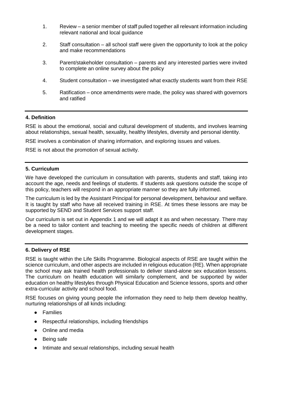- 1. Review a senior member of staff pulled together all relevant information including relevant national and local guidance
- 2. Staff consultation all school staff were given the opportunity to look at the policy and make recommendations
- 3. Parent/stakeholder consultation parents and any interested parties were invited to complete an online survey about the policy
- 4. Student consultation we investigated what exactly students want from their RSE
- 5. Ratification once amendments were made, the policy was shared with governors and ratified

#### <span id="page-2-0"></span>**4. Definition**

RSE is about the emotional, social and cultural development of students, and involves learning about relationships, sexual health, sexuality, healthy lifestyles, diversity and personal identity.

RSE involves a combination of sharing information, and exploring issues and values.

RSE is not about the promotion of sexual activity.

#### <span id="page-2-1"></span>**5. Curriculum**

We have developed the curriculum in consultation with parents, students and staff, taking into account the age, needs and feelings of students. If students ask questions outside the scope of this policy, teachers will respond in an appropriate manner so they are fully informed.

The curriculum is led by the Assistant Principal for personal development, behaviour and welfare. It is taught by staff who have all received training in RSE. At times these lessons are may be supported by SEND and Student Services support staff.

Our curriculum is set out in Appendix 1 and we will adapt it as and when necessary. There may be a need to tailor content and teaching to meeting the specific needs of children at different development stages.

#### <span id="page-2-2"></span>**6. Delivery of RSE**

RSE is taught within the Life Skills Programme. Biological aspects of RSE are taught within the science curriculum, and other aspects are included in religious education (RE). When appropriate the school may ask trained health professionals to deliver stand-alone sex education lessons. The curriculum on health education will similarly complement, and be supported by wider education on healthy lifestyles through Physical Education and Science lessons, sports and other extra-curricular activity and school food.

RSE focuses on giving young people the information they need to help them develop healthy, nurturing relationships of all kinds including:

- Families
- Respectful relationships, including friendships
- Online and media
- Being safe
- Intimate and sexual relationships, including sexual health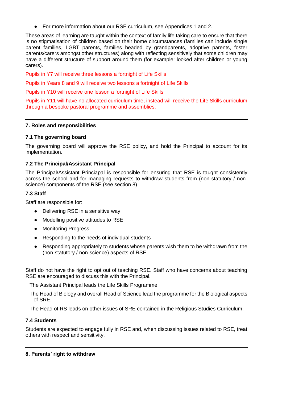● For more information about our RSE curriculum, see Appendices 1 and 2.

These areas of learning are taught within the context of family life taking care to ensure that there is no stigmatisation of children based on their home circumstances (families can include single parent families, LGBT parents, families headed by grandparents, adoptive parents, foster parents/carers amongst other structures) along with reflecting sensitively that some children may have a different structure of support around them (for example: looked after children or young carers).

Pupils in Y7 will receive three lessons a fortnight of Life Skills

Pupils in Years 8 and 9 will receive two lessons a fortnight of Life Skills

Pupils in Y10 will receive one lesson a fortnight of Life Skills

Pupils in Y11 will have no allocated curriculum time, instead will receive the Life Skills curriculum through a bespoke pastoral programme and assemblies.

### <span id="page-3-0"></span>**7. Roles and responsibilities**

### **7.1 The governing board**

The governing board will approve the RSE policy, and hold the Principal to account for its implementation.

## **7.2 The Principal/Assistant Principal**

The Principal/Assistant Princiapal is responsible for ensuring that RSE is taught consistently across the school and for managing requests to withdraw students from (non-statutory / nonscience) components of the RSE (see section 8)

### **7.3 Staff**

Staff are responsible for:

- Delivering RSE in a sensitive way
- Modelling positive attitudes to RSE
- Monitoring Progress
- Responding to the needs of individual students
- Responding appropriately to students whose parents wish them to be withdrawn from the (non-statutory / non-science) aspects of RSE

Staff do not have the right to opt out of teaching RSE. Staff who have concerns about teaching RSE are encouraged to discuss this with the Principal.

The Assistant Principal leads the Life Skills Programme

The Head of Biology and overall Head of Science lead the programme for the Biological aspects of SRE.

The Head of RS leads on other issues of SRE contained in the Religious Studies Curriculum.

## **7.4 Students**

<span id="page-3-1"></span>Students are expected to engage fully in RSE and, when discussing issues related to RSE, treat others with respect and sensitivity.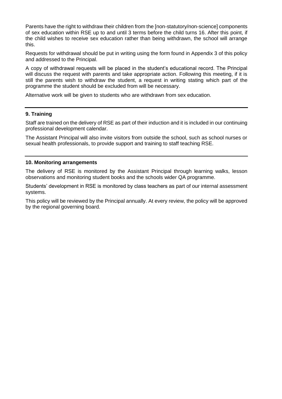Parents have the right to withdraw their children from the [non-statutory/non-science] components of sex education within RSE up to and until 3 terms before the child turns 16. After this point, if the child wishes to receive sex education rather than being withdrawn, the school will arrange this.

Requests for withdrawal should be put in writing using the form found in Appendix 3 of this policy and addressed to the Principal.

A copy of withdrawal requests will be placed in the student's educational record. The Principal will discuss the request with parents and take appropriate action. Following this meeting, if it is still the parents wish to withdraw the student, a request in writing stating which part of the programme the student should be excluded from will be necessary.

Alternative work will be given to students who are withdrawn from sex education.

#### <span id="page-4-0"></span>**9. Training**

Staff are trained on the delivery of RSE as part of their induction and it is included in our continuing professional development calendar.

The Assistant Principal will also invite visitors from outside the school, such as school nurses or sexual health professionals, to provide support and training to staff teaching RSE.

#### <span id="page-4-1"></span>**10. Monitoring arrangements**

The delivery of RSE is monitored by the Assistant Principal through learning walks, lesson observations and monitoring student books and the schools wider QA programme.

Students' development in RSE is monitored by class teachers as part of our internal assessment systems.

This policy will be reviewed by the Principal annually. At every review, the policy will be approved by the regional governing board.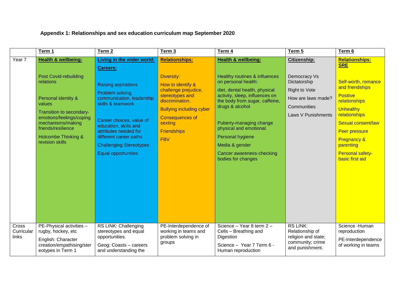## **Appendix 1: Relationships and sex education curriculum map September 2020**

|                              | Term 1                                                                                                                                                                                                                                                    | Term 2                                                                                                                                                                                                                                                                                                                           | Term 3                                                                                                                                                                                                                             | Term 4                                                                                                                                                                                                                                                                                                                                                        | Term 5                                                                                                                                 | Term 6                                                                                                                                                                                                                                                                                    |
|------------------------------|-----------------------------------------------------------------------------------------------------------------------------------------------------------------------------------------------------------------------------------------------------------|----------------------------------------------------------------------------------------------------------------------------------------------------------------------------------------------------------------------------------------------------------------------------------------------------------------------------------|------------------------------------------------------------------------------------------------------------------------------------------------------------------------------------------------------------------------------------|---------------------------------------------------------------------------------------------------------------------------------------------------------------------------------------------------------------------------------------------------------------------------------------------------------------------------------------------------------------|----------------------------------------------------------------------------------------------------------------------------------------|-------------------------------------------------------------------------------------------------------------------------------------------------------------------------------------------------------------------------------------------------------------------------------------------|
| Year 7                       | <b>Health &amp; wellbeing:</b><br><b>Post Covid-rebuilding</b><br>relations<br>Personal identity &<br>values<br>Transition to secondary-<br>emotions/feelings/coping<br>mechanisms/making<br>friends/resilience<br>Holcombe Thinking &<br>revision skills | <b>Living in the wider world:</b><br><b>Careers:</b><br><b>Raising aspirations</b><br>Problem solving,<br>communication, leadership<br>skills & teamwork<br>Career choices, value of<br>education, skills and<br>attributes needed for<br>different career paths<br><b>Challenging Stereotypes</b><br><b>Equal opportunities</b> | <b>Relationships:</b><br>Diversity:<br>How to identify &<br>challenge prejudice,<br>stereotypes and<br>discrimination.<br><b>Bullying including cyber</b><br><b>Consequences of</b><br>sexting<br><b>Friendships</b><br><b>FBV</b> | <b>Health &amp; wellbeing:</b><br>Healthy routines & influences<br>on personal health:<br>diet, dental health, physical<br>activity, sleep, influences on<br>the body from sugar, caffeine,<br>drugs & alcohol<br>Puberty-managing change<br>physical and emotional.<br>Personal hygiene<br>Media & gender<br>Cancer awareness-checking<br>bodies for changes | <b>Citizenship:</b><br>Democracy Vs<br>Dictatorship<br><b>Right to Vote</b><br>How are laws made?<br>Communities<br>Laws V Punishments | <b>Relationships:</b><br><b>SRE</b><br>Self-worth, romance<br>and friendships<br><b>Positive</b><br>relationships<br><b>Unhealthy</b><br><b>relationships</b><br>Sexual consent/law<br>Peer pressure<br><b>Pregnancy &amp;</b><br>parenting<br><b>Personal safety-</b><br>basic first aid |
| Cross<br>Curricular<br>links | PE-Physical activities -<br>rugby, hockey, etc<br>English: Character<br>creation/empathising/ster<br>eotypes in Term 1                                                                                                                                    | RS LINK: Challenging<br>stereotypes and equal<br>opportunities.<br>Geog: Coasts - careers<br>and understanding the                                                                                                                                                                                                               | PE-Interdependence of<br>working in teams and<br>problem solving in<br>groups                                                                                                                                                      | Science - Year 8 term 2 -<br>Cells - Breathing and<br>Digestion<br>Science - Year 7 Term 6 -<br>Human reproduction                                                                                                                                                                                                                                            | <b>RS LINK:</b><br>Relationship of<br>religion and state;<br>community; crime<br>and punishment.                                       | Science - Human<br>reproduction<br>PE-Interdependence<br>of working in teams                                                                                                                                                                                                              |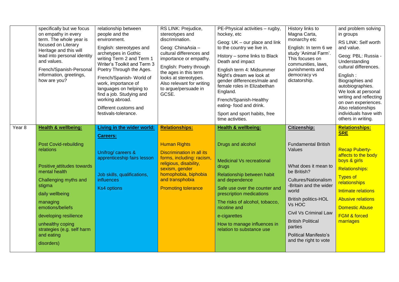|                   | specifically but we focus<br>on empathy in every<br>term. The whole year is<br>focused on Literary<br>Heritage and this will<br>lead into personal identity<br>and values.<br>French/Spanish-Personal<br>information, greetings,<br>how are you?                                      | relationship between<br>people and the<br>environment.<br>English: stereotypes and<br>archetypes in Gothic<br>writing Term 2 and Term 1<br>Writer's Toolkit and Term 3<br>Poetry Through the Ages.<br>French/Spanish-World of<br>work, importance of<br>languages on helping to<br>find a job. Studying and<br>working abroad.<br>Different customs and<br>festivals-tolerance. | RS LINK: Prejudice,<br>stereotypes and<br>discrimination.<br>Geog: ChinaAsia -<br>cultural differences and<br>importance or empathy.<br>English: Poetry through<br>the ages in this term<br>looks at stereotypes.<br>Also relevant for writing<br>to argue/persuade in<br>GCSE. | PE-Physical activities - rugby,<br>hockey, etc<br>Geog: UK - our place and link<br>to the country we live in.<br>History - some links to Black<br>Death and impact<br>English term 4: Midsummer<br>Night's dream we look at<br>gender differences/male and<br>female roles in Elizabethan<br>England.<br>French/Spanish-Healthy<br>eating- food and drink.<br>Sport and sport habits, free<br>time activities. | History links to<br>Magna Carta,<br>monarchy etc<br>English: In term 6 we<br>study 'Animal Farm'.<br>This focuses on<br>communities, laws,<br>punishments and<br>democracy vs<br>dictatorship.                                                                                                                         | and problem solving<br>in groups<br>RS LINK: Self worth<br>and value.<br>Geog: PBL: Russia -<br>Understanding<br>cultural differences.<br>English:<br>Biographies and<br>autobiographies.<br>We look at personal<br>writing and reflecting<br>on own experiences.<br>Also relationships<br>individuals have with<br>others in writing. |
|-------------------|---------------------------------------------------------------------------------------------------------------------------------------------------------------------------------------------------------------------------------------------------------------------------------------|---------------------------------------------------------------------------------------------------------------------------------------------------------------------------------------------------------------------------------------------------------------------------------------------------------------------------------------------------------------------------------|---------------------------------------------------------------------------------------------------------------------------------------------------------------------------------------------------------------------------------------------------------------------------------|----------------------------------------------------------------------------------------------------------------------------------------------------------------------------------------------------------------------------------------------------------------------------------------------------------------------------------------------------------------------------------------------------------------|------------------------------------------------------------------------------------------------------------------------------------------------------------------------------------------------------------------------------------------------------------------------------------------------------------------------|----------------------------------------------------------------------------------------------------------------------------------------------------------------------------------------------------------------------------------------------------------------------------------------------------------------------------------------|
| Year <sub>8</sub> | <b>Health &amp; wellbeing:</b>                                                                                                                                                                                                                                                        | Living in the wider world:                                                                                                                                                                                                                                                                                                                                                      | <b>Relationships:</b>                                                                                                                                                                                                                                                           | <b>Health &amp; wellbeing:</b>                                                                                                                                                                                                                                                                                                                                                                                 | Citizenship:                                                                                                                                                                                                                                                                                                           | <b>Relationships:</b><br><b>SRE</b>                                                                                                                                                                                                                                                                                                    |
|                   | <b>Post Covid-rebuilding</b><br>relations<br>Positive attitudes towards<br>mental health<br>Challenging myths and<br>stigma<br>daily wellbeing<br>managing<br>emotions/beliefs<br>developing resilience<br>unhealthy coping<br>strategies (e.g. self harm<br>and eating<br>disorders) | <b>Careers:</b><br>Unifrog/ careers &<br>apprenticeship fairs lesson<br>Job skills, qualifications,<br>influences<br>Ks4 options                                                                                                                                                                                                                                                | <b>Human Rights</b><br>Discrimination in all its<br>forms, including: racism,<br>religious, disability,<br>sexism, gender<br>homophobia, biphobia<br>and transphobia<br><b>Promoting tolerance</b>                                                                              | Drugs and alcohol<br><b>Medicinal Vs recreational</b><br>drugs<br>Relationship between habit<br>and dependence<br>Safe use over the counter and<br>prescription medications<br>The risks of alcohol, tobacco,<br>nicotine and<br>e-cigarettes<br>How to manage influences in<br>relation to substance use                                                                                                      | <b>Fundamental British</b><br>Values<br>What does it mean to<br>be British?<br><b>Cultures/Nationalism</b><br>-Britain and the wider<br>world<br><b>British politics-HOL</b><br>Vs HOC<br><b>Civil Vs Criminal Law</b><br><b>British Political</b><br>parties<br><b>Political Manifesto's</b><br>and the right to vote | <b>Recap Puberty-</b><br>affects to the body<br>boys & girls<br><b>Relationships:</b><br><b>Types of</b><br>relationships<br>Intimate relations<br><b>Abusive relations</b><br><b>Domestic Abuse</b><br><b>FGM &amp; forced</b><br>marriages                                                                                           |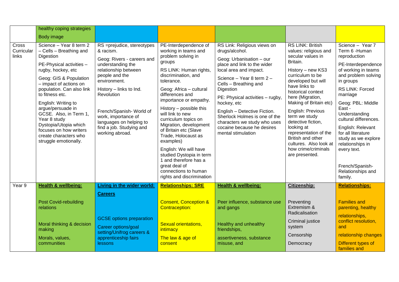|                                     | healthy coping strategies                                                                                                                                                                                                                                                                                                                                                                                        |                                                                                                                                                                                                                                                                                                                           |                                                                                                                                                                                                                                                                                                                                                                                                                                                                                                                                        |                                                                                                                                                                                                                                                                                                                                                                                                               |                                                                                                                                                                                                                                                                                                                                                                                                                                  |                                                                                                                                                                                                                                                                                                                                                                                                     |
|-------------------------------------|------------------------------------------------------------------------------------------------------------------------------------------------------------------------------------------------------------------------------------------------------------------------------------------------------------------------------------------------------------------------------------------------------------------|---------------------------------------------------------------------------------------------------------------------------------------------------------------------------------------------------------------------------------------------------------------------------------------------------------------------------|----------------------------------------------------------------------------------------------------------------------------------------------------------------------------------------------------------------------------------------------------------------------------------------------------------------------------------------------------------------------------------------------------------------------------------------------------------------------------------------------------------------------------------------|---------------------------------------------------------------------------------------------------------------------------------------------------------------------------------------------------------------------------------------------------------------------------------------------------------------------------------------------------------------------------------------------------------------|----------------------------------------------------------------------------------------------------------------------------------------------------------------------------------------------------------------------------------------------------------------------------------------------------------------------------------------------------------------------------------------------------------------------------------|-----------------------------------------------------------------------------------------------------------------------------------------------------------------------------------------------------------------------------------------------------------------------------------------------------------------------------------------------------------------------------------------------------|
|                                     | Body image                                                                                                                                                                                                                                                                                                                                                                                                       |                                                                                                                                                                                                                                                                                                                           |                                                                                                                                                                                                                                                                                                                                                                                                                                                                                                                                        |                                                                                                                                                                                                                                                                                                                                                                                                               |                                                                                                                                                                                                                                                                                                                                                                                                                                  |                                                                                                                                                                                                                                                                                                                                                                                                     |
| <b>Cross</b><br>Curricular<br>links | Science - Year 8 term 2<br>- Cells - Breathing and<br>Digestion<br>PE-Physical activities -<br>rugby, hockey, etc<br>Geog: GIS & Population<br>- impact of actions on<br>population. Can also link<br>to fitness etc.<br>English: Writing to<br>argue/persuade in<br>GCSE. Also, in Term 1,<br>Year 8 study<br>Dystopia/Utopia which<br>focuses on how writers<br>create characters who<br>struggle emotionally. | RS =prejudice, stereotypes<br>& racism.<br>Geog: Rivers - careers and<br>understanding the<br>relationship between<br>people and the<br>environment.<br>History - links to Ind.<br>Revolution<br>French/Spanish-World of<br>work, importance of<br>languages on helping to<br>find a job. Studying and<br>working abroad. | PE-Interdependence of<br>working in teams and<br>problem solving in<br>groups<br>RS LINK: Human rights,<br>discrimination, and<br>tolerance.<br>Geog: Africa - cultural<br>differences and<br>importance or empathy.<br>History - possible this<br>will link to new<br>curriculum topics on<br>Migration, development<br>of Britain etc (Slave<br>Trade, Holocaust as<br>examples)<br>English: We will have<br>studied Dystopia in term<br>1 and therefore has a<br>great deal of<br>connections to human<br>rights and discrimination | RS Link: Religious views on<br>drugs/alcohol.<br>Geog: Urbanisation - our<br>place and link to the wider<br>local area and impact.<br>Science - Year 8 term 2 -<br>Cells - Breathing and<br>Digestion<br>PE: Physical activities - rugby,<br>hockey, etc<br>English - Detective Fiction.<br>Sherlock Holmes is one of the<br>characters we study who uses<br>cocaine because he desires<br>mental stimulation | <b>RS LINK: British</b><br>values: religious and<br>secular values in<br>Britain.<br>History - new KS3<br>curriculum to be<br>developed but will<br>have links to<br>historical context<br>here (Migration,<br>Making of Britain etc)<br>English: Previous<br>term we study<br>detective fiction,<br>looking at<br>representation of the<br>British and other<br>cultures. Also look at<br>how crime/criminals<br>are presented. | Science - Year 7<br>Term 6 - Human<br>reproduction<br>PE-Interdependence<br>of working in teams<br>and problem solving<br>in groups<br>RS LINK: Forced<br>marriage<br>Geog: PBL: Middle<br>East -<br>Understanding<br>cultural differences.<br>English: Relevant<br>for all literature<br>study as we explore<br>relationships in<br>every text.<br>French/Spanish-<br>Relationships and<br>family. |
| Year 9                              | <b>Health &amp; wellbeing:</b>                                                                                                                                                                                                                                                                                                                                                                                   | Living in the wider world:                                                                                                                                                                                                                                                                                                | <b>Relationships: SRE</b>                                                                                                                                                                                                                                                                                                                                                                                                                                                                                                              | <b>Health &amp; wellbeing:</b>                                                                                                                                                                                                                                                                                                                                                                                | <b>Citizenship:</b>                                                                                                                                                                                                                                                                                                                                                                                                              | <b>Relationships:</b>                                                                                                                                                                                                                                                                                                                                                                               |
|                                     | <b>Post Covid-rebuilding</b><br>relations<br>Moral thinking & decision<br>making                                                                                                                                                                                                                                                                                                                                 | <b>Careers</b><br><b>GCSE</b> options preparation<br>Career options/goal                                                                                                                                                                                                                                                  | <b>Consent, Conception &amp;</b><br><b>Contraception:</b><br><b>Sexual orientations,</b><br>intimacy                                                                                                                                                                                                                                                                                                                                                                                                                                   | Peer influence, substance use<br>and gangs<br>Healthy and unhealthy<br>friendships,                                                                                                                                                                                                                                                                                                                           | Preventing<br>Extremism &<br>Radicalisation<br><b>Criminal justice</b><br>system                                                                                                                                                                                                                                                                                                                                                 | <b>Families and</b><br>parenting, healthy<br>relationships,<br>conflict resolution,<br>and                                                                                                                                                                                                                                                                                                          |
|                                     | Morals, values,<br>communities                                                                                                                                                                                                                                                                                                                                                                                   | setting/Unifrog careers &<br>apprenticeship fairs<br>lessons                                                                                                                                                                                                                                                              | The law & age of<br>consent                                                                                                                                                                                                                                                                                                                                                                                                                                                                                                            | assertiveness, substance<br>misuse, and                                                                                                                                                                                                                                                                                                                                                                       | Censorship<br>Democracy                                                                                                                                                                                                                                                                                                                                                                                                          | relationship changes<br>Different types of<br>families and                                                                                                                                                                                                                                                                                                                                          |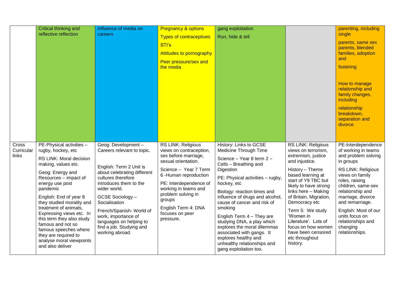|                              | Critical thinking and<br>reflective reflection                                                                                                                                                                                                                                                                                                                                                                                              | Influence of media on<br>careers                                                                                                                                                                                                                                                                                                             | <b>Pregnancy &amp; options</b><br><b>Types of contraceptives</b><br>STI's<br><b>Attitudes to pornography</b><br>Peer pressure/sex and<br>the media                                                                                                                                     | gang exploitation<br>Run, hide & tell                                                                                                                                                                                                                                                                                                                                                                                                                                                     |                                                                                                                                                                                                                                                                                                                                                                                       | parenting, including<br>single<br>parents, same sex<br>parents, blended<br>families, adoption<br>and<br>fostering<br>How to manage<br>relationship and<br>family changes,<br>including<br>relationship<br>breakdown,<br>separation and<br>divorce                                                                              |
|------------------------------|---------------------------------------------------------------------------------------------------------------------------------------------------------------------------------------------------------------------------------------------------------------------------------------------------------------------------------------------------------------------------------------------------------------------------------------------|----------------------------------------------------------------------------------------------------------------------------------------------------------------------------------------------------------------------------------------------------------------------------------------------------------------------------------------------|----------------------------------------------------------------------------------------------------------------------------------------------------------------------------------------------------------------------------------------------------------------------------------------|-------------------------------------------------------------------------------------------------------------------------------------------------------------------------------------------------------------------------------------------------------------------------------------------------------------------------------------------------------------------------------------------------------------------------------------------------------------------------------------------|---------------------------------------------------------------------------------------------------------------------------------------------------------------------------------------------------------------------------------------------------------------------------------------------------------------------------------------------------------------------------------------|--------------------------------------------------------------------------------------------------------------------------------------------------------------------------------------------------------------------------------------------------------------------------------------------------------------------------------|
| Cross<br>Curricular<br>links | PE-Physical activities -<br>rugby, hockey, etc<br>RS LINK: Moral decision<br>making, values etc.<br>Geog: Energy and<br>Resources - impact of<br>energy use post<br>pandemic<br>English: End of year 8<br>they studied morality and<br>treatment of animals,<br>Expressing views etc. In<br>this term they also study<br>famous and not so<br>famous speeches where<br>they are required to<br>analyse moral viewpoints<br>and also deliver | Geog: Development -<br>Careers relevant to topic.<br>English: Term 2 Unit is<br>about celebrating different<br>cultures therefore<br>introduces them to the<br>wider world.<br>GCSE Sociology -<br>Socialisation<br>French/Spanish-World of<br>work, importance of<br>languages on helping to<br>find a job. Studying and<br>working abroad. | RS LINK: Religious<br>views on contraception,<br>sex before marriage,<br>sexual orientation.<br>Science - Year 7 Term<br>6-Human reproduction<br>PE: Interdependence of<br>working in teams and<br>problem solving in<br>groups<br>English Term 4: DNA<br>focuses on peer<br>pressure. | History: Links to GCSE<br>Medicine Through Time<br>Science - Year 8 term 2 -<br>Cells - Breathing and<br>Digestion<br>PE: Physical activities - rugby,<br>hockey, etc<br>Biology: reaction times and<br>influence of drugs and alcohol,<br>cause of cancer and risk of<br>smoking<br>English Term 4 - They are<br>studying DNA, a play which<br>explores the moral dilemmas<br>associated with gangs. It<br>explores healthy and<br>unhealthy relationships and<br>gang exploitation too. | <b>RS LINK: Religious</b><br>views on terrorism,<br>extremism, justice<br>and injustice.<br>History - Theme<br>based learning at<br>start of Y9 TBC but<br>likely to have strong<br>links here - Making<br>of Britain, Migration,<br>Democracy etc<br>Term 5: We study<br>'Women in<br>Literature'. Lots of<br>focus on how women<br>have been censored<br>etc throughout<br>history. | PE-Interdependence<br>of working in teams<br>and problem solving<br>in groups<br><b>RS LINK: Religious</b><br>views on family<br>roles, raising<br>children, same-sex<br>relationship and<br>marriage, divorce<br>and remarriage.<br>English: Most of our<br>units focus on<br>relationships and<br>changing<br>relationships. |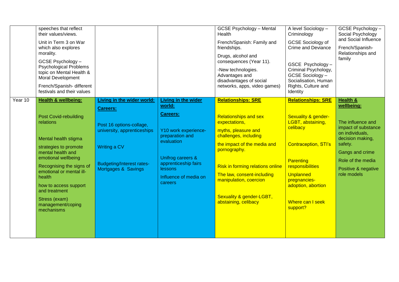|         | speeches that reflect<br>their values/views.<br>Unit in Term 3 on War<br>which also explores<br>morality.<br>GCSE Psychology -<br><b>Psychological Problems</b><br>topic on Mental Health &<br><b>Moral Development</b><br>French/Spanish-different<br>festivals and their values                                                        |                                                                                                                                                                                            |                                                                                                                                                                                                | <b>GCSE Psychology - Mental</b><br>Health<br>French/Spanish: Family and<br>friendships.<br>Drugs, alcohol and<br>consequences (Year 11).<br>-New technologies.<br>Advantages and<br>disadvantages of social<br>networks, apps, video games)                                                                               | A level Sociology -<br>Criminology<br><b>GCSE Sociology of</b><br><b>Crime and Deviance</b><br>GSCE Psychology -<br>Criminal Psychology,<br>GCSE Sociology-<br>Socialisation, Human<br>Rights, Culture and<br>Identity                                 | GCSE Psychology -<br>Social Psychology<br>and Social Influence<br>French/Spanish-<br>Relationships and<br>family                                                                                              |
|---------|------------------------------------------------------------------------------------------------------------------------------------------------------------------------------------------------------------------------------------------------------------------------------------------------------------------------------------------|--------------------------------------------------------------------------------------------------------------------------------------------------------------------------------------------|------------------------------------------------------------------------------------------------------------------------------------------------------------------------------------------------|---------------------------------------------------------------------------------------------------------------------------------------------------------------------------------------------------------------------------------------------------------------------------------------------------------------------------|--------------------------------------------------------------------------------------------------------------------------------------------------------------------------------------------------------------------------------------------------------|---------------------------------------------------------------------------------------------------------------------------------------------------------------------------------------------------------------|
| Year 10 | <b>Health &amp; wellbeing:</b><br><b>Post Covid-rebuilding</b><br>relations<br>Mental health stigma<br>strategies to promote<br>mental health and<br>emotional wellbeing<br>Recognising the signs of<br>emotional or mental ill-<br>health<br>how to access support<br>and treatment<br>Stress (exam)<br>management/coping<br>mechanisms | <b>Living in the wider world:</b><br><b>Careers:</b><br>Post 16 options-collage,<br>university, apprenticeships<br>Writing a CV<br><b>Budgeting/Interest rates-</b><br>Mortgages & Savings | Living in the wider<br>world:<br>Careers:<br>Y10 work experience-<br>preparation and<br>evaluation<br>Unifrog careers &<br>apprenticeship fairs<br>lessons<br>Influence of media on<br>careers | <b>Relationships: SRE</b><br><b>Relationships and sex</b><br>expectations,<br>myths, pleasure and<br>challenges, including<br>the impact of the media and<br>pornography.<br>Risk in forming relations online<br>The law, consent-including<br>manipulation, coercion<br>Sexuality & gender-LGBT,<br>abstaining, celibacy | <b>Relationships: SRE</b><br><b>Sexuality &amp; gender-</b><br>LGBT, abstaining,<br>celibacy<br><b>Contraception, STI's</b><br>Parenting<br>responsibilities<br><b>Unplanned</b><br>pregnancies-<br>adoption, abortion<br>Where can I seek<br>support? | <b>Health &amp;</b><br>wellbeing:<br>The influence and<br>impact of substance<br>on individuals,<br>decision making,<br>safety.<br>Gangs and crime<br>Role of the media<br>Positive & negative<br>role models |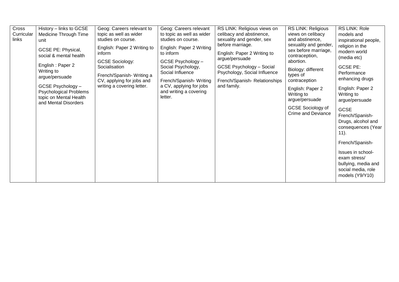| Cross<br>Curricular<br>links | History - links to GCSE<br>Medicine Through Time<br>unit<br>GCSE PE: Physical,<br>social & mental health<br>English: Paper 2<br>Writing to<br>argue/persuade<br>GCSE Psychology -<br><b>Psychological Problems</b><br>topic on Mental Health<br>and Mental Disorders | Geog: Careers relevant to<br>topic as well as wider<br>studies on course.<br>English: Paper 2 Writing to<br>inform<br><b>GCSE Sociology:</b><br>Socialisation<br>French/Spanish-Writing a<br>CV, applying for jobs and<br>writing a covering letter. | Geog: Careers relevant<br>to topic as well as wider<br>studies on course.<br>English: Paper 2 Writing<br>to inform<br>GCSE Psychology -<br>Social Psychology,<br>Social Influence<br>French/Spanish-Writing<br>a CV, applying for jobs<br>and writing a covering<br>letter. | RS LINK: Religious views on<br>celibacy and abstinence,<br>sexuality and gender, sex<br>before marriage.<br>English: Paper 2 Writing to<br>argue/persuade<br><b>GCSE Psychology - Social</b><br>Psychology, Social Influence<br>French/Spanish-Relationships<br>and family. | <b>RS LINK: Religious</b><br>views on celibacy<br>and abstinence,<br>sexuality and gender,<br>sex before marriage,<br>contraception,<br>abortion.<br>Biology: different<br>types of<br>contraception<br>English: Paper 2<br>Writing to<br>argue/persuade<br>GCSE Sociology of<br><b>Crime and Deviance</b> | RS LINK: Role<br>models and<br>inspirational people,<br>religion in the<br>modern world<br>(media etc)<br><b>GCSE PE:</b><br>Performance<br>enhancing drugs<br>English: Paper 2<br>Writing to<br>argue/persuade<br><b>GCSE</b><br>French/Spanish-<br>Drugs, alcohol and<br>consequences (Year<br>$(11)$ .<br>French/Spanish-<br>Issues in school-<br>exam stress/<br>bullying, media and<br>social media, role |
|------------------------------|----------------------------------------------------------------------------------------------------------------------------------------------------------------------------------------------------------------------------------------------------------------------|------------------------------------------------------------------------------------------------------------------------------------------------------------------------------------------------------------------------------------------------------|-----------------------------------------------------------------------------------------------------------------------------------------------------------------------------------------------------------------------------------------------------------------------------|-----------------------------------------------------------------------------------------------------------------------------------------------------------------------------------------------------------------------------------------------------------------------------|------------------------------------------------------------------------------------------------------------------------------------------------------------------------------------------------------------------------------------------------------------------------------------------------------------|----------------------------------------------------------------------------------------------------------------------------------------------------------------------------------------------------------------------------------------------------------------------------------------------------------------------------------------------------------------------------------------------------------------|
|                              |                                                                                                                                                                                                                                                                      |                                                                                                                                                                                                                                                      |                                                                                                                                                                                                                                                                             |                                                                                                                                                                                                                                                                             |                                                                                                                                                                                                                                                                                                            | models (Y9/Y10)                                                                                                                                                                                                                                                                                                                                                                                                |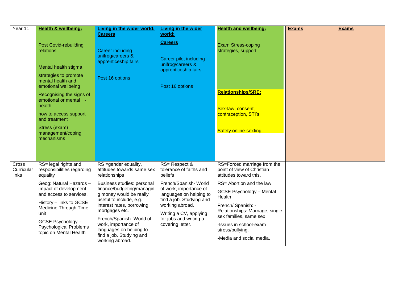| Year 11                      | <b>Health &amp; wellbeing:</b>                                                                                                                                                                                                    | Living in the wider world:<br><b>Careers</b>                                                                             | <b>Living in the wider</b><br>world:                                                         | <b>Health and wellbeing:</b>                                                                           | <b>Exams</b> | <b>Exams</b> |
|------------------------------|-----------------------------------------------------------------------------------------------------------------------------------------------------------------------------------------------------------------------------------|--------------------------------------------------------------------------------------------------------------------------|----------------------------------------------------------------------------------------------|--------------------------------------------------------------------------------------------------------|--------------|--------------|
|                              | <b>Post Covid-rebuilding</b><br>relations<br>Mental health stigma                                                                                                                                                                 | <b>Career including</b><br>unifrog/careers &<br>apprenticeship fairs                                                     | <b>Careers</b><br><b>Career pilot including</b><br>unifrog/careers &<br>apprenticeship fairs | <b>Exam Stress-coping</b><br>strategies, support                                                       |              |              |
|                              | strategies to promote<br>mental health and<br>emotional wellbeing<br>Recognising the signs of<br>emotional or mental ill-<br>health<br>how to access support<br>and treatment<br>Stress (exam)<br>management/coping<br>mechanisms | Post 16 options                                                                                                          | Post 16 options                                                                              | <b>Relationships/SRE:</b><br>Sex-law, consent,<br>contraception, STI's<br><b>Safety online-sexting</b> |              |              |
|                              |                                                                                                                                                                                                                                   |                                                                                                                          |                                                                                              |                                                                                                        |              |              |
| Cross<br>Curricular<br>links | RS= legal rights and<br>responsibilities regarding<br>equality                                                                                                                                                                    | RS = gender equality,<br>attitudes towards same sex<br>relationships                                                     | RS= Respect &<br>tolerance of faiths and<br>beliefs                                          | RS=Forced marriage from the<br>point of view of Christian<br>attitudes toward this.                    |              |              |
|                              | Geog: Natural Hazards -<br>impact of development                                                                                                                                                                                  | Business studies: personal<br>finance/budgeting/managin                                                                  | French/Spanish-World<br>of work, importance of                                               | RS= Abortion and the law                                                                               |              |              |
|                              | and access to services.                                                                                                                                                                                                           | g money would be really<br>useful to include, e.g.                                                                       | languages on helping to<br>find a job. Studying and                                          | <b>GCSE Psychology - Mental</b><br>Health                                                              |              |              |
|                              | History - links to GCSE<br>Medicine Through Time<br>unit                                                                                                                                                                          | interest rates, borrowing,<br>mortgages etc.                                                                             | working abroad.<br>Writing a CV, applying                                                    | French/ Spanish: -<br>Relationships: Marriage, single<br>sex families, same sex                        |              |              |
|                              | GCSE Psychology -<br><b>Psychological Problems</b><br>topic on Mental Health                                                                                                                                                      | French/Spanish-World of<br>work, importance of<br>languages on helping to<br>find a job. Studying and<br>working abroad. | for jobs and writing a<br>covering letter.                                                   | -Issues in school-exam<br>stress/bullying.<br>-Media and social media.                                 |              |              |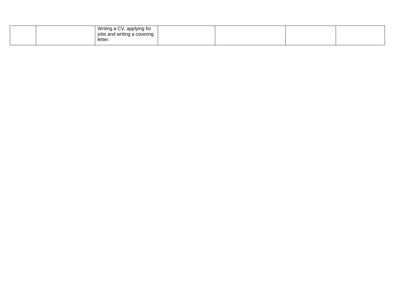| Writing a CV, applying for              |  |  |
|-----------------------------------------|--|--|
| l jobs and writing a covering<br>ັ<br>ັ |  |  |
| letter.                                 |  |  |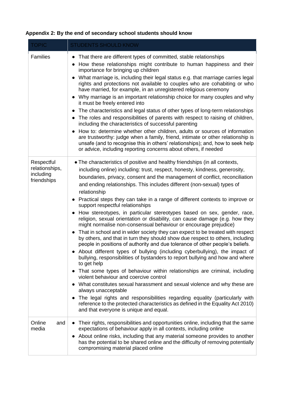| <b>TOPIC</b>                                             | <b>STUDENTS SHOULD KNOW</b>                                                                                                                                                                                                                                                                                                                                                                                                                                                                                                                                                                                                                                                                                                                                                                                                                                                                                                                                                                                                                                                                                                                                                                                                                                                                                                                                                                                                                                                                                                                                       |
|----------------------------------------------------------|-------------------------------------------------------------------------------------------------------------------------------------------------------------------------------------------------------------------------------------------------------------------------------------------------------------------------------------------------------------------------------------------------------------------------------------------------------------------------------------------------------------------------------------------------------------------------------------------------------------------------------------------------------------------------------------------------------------------------------------------------------------------------------------------------------------------------------------------------------------------------------------------------------------------------------------------------------------------------------------------------------------------------------------------------------------------------------------------------------------------------------------------------------------------------------------------------------------------------------------------------------------------------------------------------------------------------------------------------------------------------------------------------------------------------------------------------------------------------------------------------------------------------------------------------------------------|
| <b>Families</b>                                          | That there are different types of committed, stable relationships<br>$\bullet$<br>How these relationships might contribute to human happiness and their<br>importance for bringing up children<br>• What marriage is, including their legal status e.g. that marriage carries legal<br>rights and protections not available to couples who are cohabiting or who<br>have married, for example, in an unregistered religious ceremony<br>Why marriage is an important relationship choice for many couples and why<br>it must be freely entered into<br>The characteristics and legal status of other types of long-term relationships<br>The roles and responsibilities of parents with respect to raising of children,<br>$\bullet$<br>including the characteristics of successful parenting<br>How to: determine whether other children, adults or sources of information<br>are trustworthy: judge when a family, friend, intimate or other relationship is<br>unsafe (and to recognise this in others' relationships); and, how to seek help<br>or advice, including reporting concerns about others, if needed                                                                                                                                                                                                                                                                                                                                                                                                                                               |
| Respectful<br>relationships,<br>including<br>friendships | • The characteristics of positive and healthy friendships (in all contexts,<br>including online) including: trust, respect, honesty, kindness, generosity,<br>boundaries, privacy, consent and the management of conflict, reconciliation<br>and ending relationships. This includes different (non-sexual) types of<br>relationship<br>Practical steps they can take in a range of different contexts to improve or<br>support respectful relationships<br>• How stereotypes, in particular stereotypes based on sex, gender, race,<br>religion, sexual orientation or disability, can cause damage (e.g. how they<br>might normalise non-consensual behaviour or encourage prejudice)<br>That in school and in wider society they can expect to be treated with respect<br>by others, and that in turn they should show due respect to others, including<br>people in positions of authority and due tolerance of other people's beliefs.<br>• About different types of bullying (including cyberbullying), the impact of<br>bullying, responsibilities of bystanders to report bullying and how and where<br>to get help<br>That some types of behaviour within relationships are criminal, including<br>violent behaviour and coercive control<br>What constitutes sexual harassment and sexual violence and why these are<br>always unacceptable<br>The legal rights and responsibilities regarding equality (particularly with<br>reference to the protected characteristics as defined in the Equality Act 2010)<br>and that everyone is unique and equal. |
| Online<br>and<br>media                                   | Their rights, responsibilities and opportunities online, including that the same<br>expectations of behaviour apply in all contexts, including online<br>• About online risks, including that any material someone provides to another<br>has the potential to be shared online and the difficulty of removing potentially<br>compromising material placed online                                                                                                                                                                                                                                                                                                                                                                                                                                                                                                                                                                                                                                                                                                                                                                                                                                                                                                                                                                                                                                                                                                                                                                                                 |

## <span id="page-14-0"></span>**Appendix 2: By the end of secondary school students should know**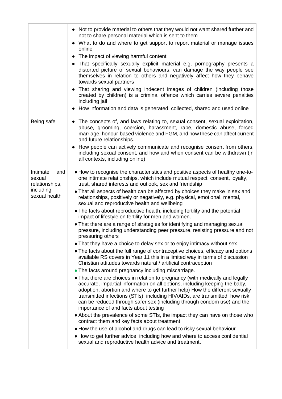|                                                                           | • Not to provide material to others that they would not want shared further and<br>not to share personal material which is sent to them<br>• What to do and where to get support to report material or manage issues<br>online<br>• The impact of viewing harmful content<br>• That specifically sexually explicit material e.g. pornography presents a<br>distorted picture of sexual behaviours, can damage the way people see<br>themselves in relation to others and negatively affect how they behave<br>towards sexual partners<br>• That sharing and viewing indecent images of children (including those<br>created by children) is a criminal offence which carries severe penalties<br>including jail<br>• How information and data is generated, collected, shared and used online                                                                                                                                                                                                                                                                                                                                                                                                                                                                                                                                                                                                                                                                                                                                                                                                                                                                                                                                                                                                                                                                                                                                          |
|---------------------------------------------------------------------------|----------------------------------------------------------------------------------------------------------------------------------------------------------------------------------------------------------------------------------------------------------------------------------------------------------------------------------------------------------------------------------------------------------------------------------------------------------------------------------------------------------------------------------------------------------------------------------------------------------------------------------------------------------------------------------------------------------------------------------------------------------------------------------------------------------------------------------------------------------------------------------------------------------------------------------------------------------------------------------------------------------------------------------------------------------------------------------------------------------------------------------------------------------------------------------------------------------------------------------------------------------------------------------------------------------------------------------------------------------------------------------------------------------------------------------------------------------------------------------------------------------------------------------------------------------------------------------------------------------------------------------------------------------------------------------------------------------------------------------------------------------------------------------------------------------------------------------------------------------------------------------------------------------------------------------------|
| Being safe                                                                | • The concepts of, and laws relating to, sexual consent, sexual exploitation,<br>abuse, grooming, coercion, harassment, rape, domestic abuse, forced<br>marriage, honour-based violence and FGM, and how these can affect current<br>and future relationships.<br>How people can actively communicate and recognise consent from others,<br>including sexual consent, and how and when consent can be withdrawn (in<br>all contexts, including online)                                                                                                                                                                                                                                                                                                                                                                                                                                                                                                                                                                                                                                                                                                                                                                                                                                                                                                                                                                                                                                                                                                                                                                                                                                                                                                                                                                                                                                                                                 |
| Intimate<br>and<br>sexual<br>relationships,<br>including<br>sexual health | • How to recognise the characteristics and positive aspects of healthy one-to-<br>one intimate relationships, which include mutual respect, consent, loyalty,<br>trust, shared interests and outlook, sex and friendship<br>• That all aspects of health can be affected by choices they make in sex and<br>relationships, positively or negatively, e.g. physical, emotional, mental,<br>sexual and reproductive health and wellbeing<br>• The facts about reproductive health, including fertility and the potential<br>impact of lifestyle on fertility for men and women.<br>• That there are a range of strategies for identifying and managing sexual<br>pressure, including understanding peer pressure, resisting pressure and not<br>pressuring others<br>• That they have a choice to delay sex or to enjoy intimacy without sex<br>• The facts about the full range of contraceptive choices, efficacy and options<br>available RS covers in Year 11 this in a limited way in terms of discussion<br>Christian attitudes towards natural / artificial contraception<br>• The facts around pregnancy including miscarriage.<br>• That there are choices in relation to pregnancy (with medically and legally<br>accurate, impartial information on all options, including keeping the baby,<br>adoption, abortion and where to get further help) How the different sexually<br>transmitted infections (STIs), including HIV/AIDs, are transmitted, how risk<br>can be reduced through safer sex (including through condom use) and the<br>importance of and facts about testing<br>• About the prevalence of some STIs, the impact they can have on those who<br>contract them and key facts about treatment<br>• How the use of alcohol and drugs can lead to risky sexual behaviour<br>• How to get further advice, including how and where to access confidential<br>sexual and reproductive health advice and treatment. |